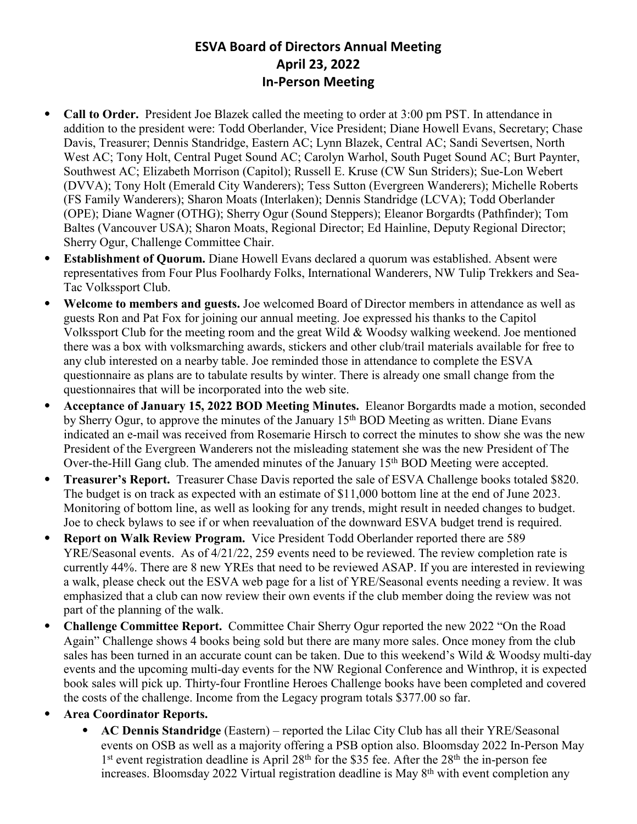## **ESVA Board of Directors Annual Meeting April 23, 2022 In-Person Meeting**

- ⦁ **Call to Order.** President Joe Blazek called the meeting to order at 3:00 pm PST. In attendance in addition to the president were: Todd Oberlander, Vice President; Diane Howell Evans, Secretary; Chase Davis, Treasurer; Dennis Standridge, Eastern AC; Lynn Blazek, Central AC; Sandi Severtsen, North West AC; Tony Holt, Central Puget Sound AC; Carolyn Warhol, South Puget Sound AC; Burt Paynter, Southwest AC; Elizabeth Morrison (Capitol); Russell E. Kruse (CW Sun Striders); Sue-Lon Webert (DVVA); Tony Holt (Emerald City Wanderers); Tess Sutton (Evergreen Wanderers); Michelle Roberts (FS Family Wanderers); Sharon Moats (Interlaken); Dennis Standridge (LCVA); Todd Oberlander (OPE); Diane Wagner (OTHG); Sherry Ogur (Sound Steppers); Eleanor Borgardts (Pathfinder); Tom Baltes (Vancouver USA); Sharon Moats, Regional Director; Ed Hainline, Deputy Regional Director; Sherry Ogur, Challenge Committee Chair.
- ⦁ **Establishment of Quorum.** Diane Howell Evans declared a quorum was established. Absent were representatives from Four Plus Foolhardy Folks, International Wanderers, NW Tulip Trekkers and Sea-Tac Volkssport Club.
- ⦁ **Welcome to members and guests.** Joe welcomed Board of Director members in attendance as well as guests Ron and Pat Fox for joining our annual meeting. Joe expressed his thanks to the Capitol Volkssport Club for the meeting room and the great Wild & Woodsy walking weekend. Joe mentioned there was a box with volksmarching awards, stickers and other club/trail materials available for free to any club interested on a nearby table. Joe reminded those in attendance to complete the ESVA questionnaire as plans are to tabulate results by winter. There is already one small change from the questionnaires that will be incorporated into the web site.
- ⦁ **Acceptance of January 15, 2022 BOD Meeting Minutes.** Eleanor Borgardts made a motion, seconded by Sherry Ogur, to approve the minutes of the January 15<sup>th</sup> BOD Meeting as written. Diane Evans indicated an e-mail was received from Rosemarie Hirsch to correct the minutes to show she was the new President of the Evergreen Wanderers not the misleading statement she was the new President of The Over-the-Hill Gang club. The amended minutes of the January 15<sup>th</sup> BOD Meeting were accepted.
- ⦁ **Treasurer's Report.** Treasurer Chase Davis reported the sale of ESVA Challenge books totaled \$820. The budget is on track as expected with an estimate of \$11,000 bottom line at the end of June 2023. Monitoring of bottom line, as well as looking for any trends, might result in needed changes to budget. Joe to check bylaws to see if or when reevaluation of the downward ESVA budget trend is required.
- ⦁ **Report on Walk Review Program.** Vice President Todd Oberlander reported there are 589 YRE/Seasonal events. As of  $4/21/22$ , 259 events need to be reviewed. The review completion rate is currently 44%. There are 8 new YREs that need to be reviewed ASAP. If you are interested in reviewing a walk, please check out the ESVA web page for a list of YRE/Seasonal events needing a review. It was emphasized that a club can now review their own events if the club member doing the review was not part of the planning of the walk.
- ⦁ **Challenge Committee Report.** Committee Chair Sherry Ogur reported the new 2022 "On the Road Again" Challenge shows 4 books being sold but there are many more sales. Once money from the club sales has been turned in an accurate count can be taken. Due to this weekend's Wild & Woodsy multi-day events and the upcoming multi-day events for the NW Regional Conference and Winthrop, it is expected book sales will pick up. Thirty-four Frontline Heroes Challenge books have been completed and covered the costs of the challenge. Income from the Legacy program totals \$377.00 so far.
- ⦁ **Area Coordinator Reports.**
	- ⦁ **AC Dennis Standridge** (Eastern) reported the Lilac City Club has all their YRE/Seasonal events on OSB as well as a majority offering a PSB option also. Bloomsday 2022 In-Person May 1<sup>st</sup> event registration deadline is April 28<sup>th</sup> for the \$35 fee. After the 28<sup>th</sup> the in-person fee increases. Bloomsday 2022 Virtual registration deadline is May 8<sup>th</sup> with event completion any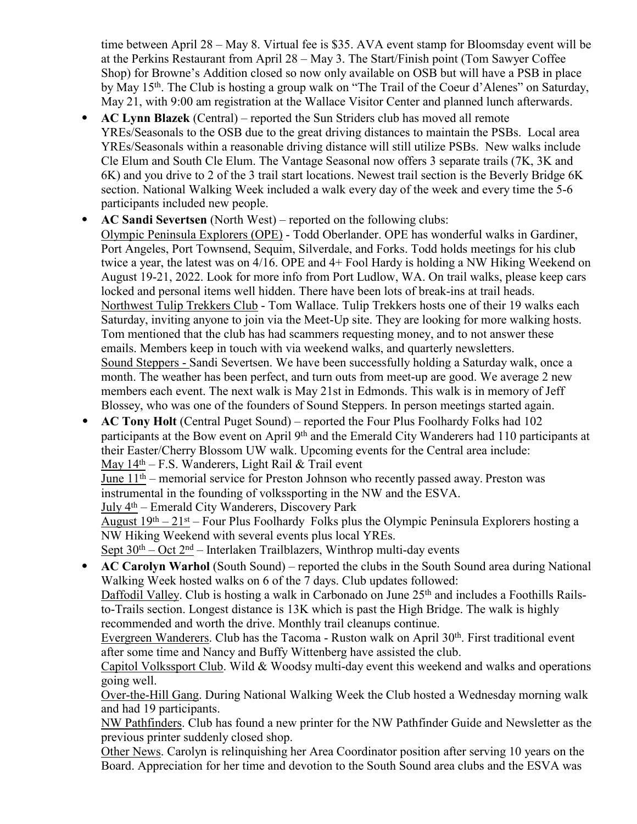time between April 28 – May 8. Virtual fee is \$35. AVA event stamp for Bloomsday event will be at the Perkins Restaurant from April 28 – May 3. The Start/Finish point (Tom Sawyer Coffee Shop) for Browne's Addition closed so now only available on OSB but will have a PSB in place by May 15th. The Club is hosting a group walk on "The Trail of the Coeur d'Alenes" on Saturday, May 21, with 9:00 am registration at the Wallace Visitor Center and planned lunch afterwards.

- ⦁ **AC Lynn Blazek** (Central) reported the Sun Striders club has moved all remote YREs/Seasonals to the OSB due to the great driving distances to maintain the PSBs. Local area YREs/Seasonals within a reasonable driving distance will still utilize PSBs. New walks include Cle Elum and South Cle Elum. The Vantage Seasonal now offers 3 separate trails (7K, 3K and 6K) and you drive to 2 of the 3 trail start locations. Newest trail section is the Beverly Bridge 6K section. National Walking Week included a walk every day of the week and every time the 5-6 participants included new people.
- ⦁ **AC Sandi Severtsen** (North West) reported on the following clubs:

Olympic Peninsula Explorers (OPE) - Todd Oberlander. OPE has wonderful walks in Gardiner, Port Angeles, Port Townsend, Sequim, Silverdale, and Forks. Todd holds meetings for his club twice a year, the latest was on 4/16. OPE and 4+ Fool Hardy is holding a NW Hiking Weekend on August 19-21, 2022. Look for more info from Port Ludlow, WA. On trail walks, please keep cars locked and personal items well hidden. There have been lots of break-ins at trail heads. Northwest Tulip Trekkers Club - Tom Wallace. Tulip Trekkers hosts one of their 19 walks each Saturday, inviting anyone to join via the Meet-Up site. They are looking for more walking hosts. Tom mentioned that the club has had scammers requesting money, and to not answer these emails. Members keep in touch with via weekend walks, and quarterly newsletters. Sound Steppers - Sandi Severtsen. We have been successfully holding a Saturday walk, once a month. The weather has been perfect, and turn outs from meet-up are good. We average 2 new members each event. The next walk is May 21st in Edmonds. This walk is in memory of Jeff Blossey, who was one of the founders of Sound Steppers. In person meetings started again.

⦁ **AC Tony Holt** (Central Puget Sound) – reported the Four Plus Foolhardy Folks had 102 participants at the Bow event on April 9<sup>th</sup> and the Emerald City Wanderers had 110 participants at their Easter/Cherry Blossom UW walk. Upcoming events for the Central area include: May  $14<sup>th</sup> - F.S.$  Wanderers, Light Rail & Trail event

June  $11<sup>th</sup>$  – memorial service for Preston Johnson who recently passed away. Preston was instrumental in the founding of volkssporting in the NW and the ESVA.

July 4th – Emerald City Wanderers, Discovery Park

August  $19<sup>th</sup> - 21<sup>st</sup> - Four Plus Footballardy Folks plus the Olympic Peninsula Explorers hosting a$ NW Hiking Weekend with several events plus local YREs.

Sept  $30<sup>th</sup> - Oct 2<sup>nd</sup> - Interlaken Trailblazers, Winthrop multi-day events$ 

⦁ **AC Carolyn Warhol** (South Sound) – reported the clubs in the South Sound area during National Walking Week hosted walks on 6 of the 7 days. Club updates followed: Daffodil Valley. Club is hosting a walk in Carbonado on June 25<sup>th</sup> and includes a Foothills Rails-

to-Trails section. Longest distance is 13K which is past the High Bridge. The walk is highly recommended and worth the drive. Monthly trail cleanups continue.

Evergreen Wanderers. Club has the Tacoma - Ruston walk on April 30th. First traditional event after some time and Nancy and Buffy Wittenberg have assisted the club.

Capitol Volkssport Club. Wild & Woodsy multi-day event this weekend and walks and operations going well.

Over-the-Hill Gang. During National Walking Week the Club hosted a Wednesday morning walk and had 19 participants.

NW Pathfinders. Club has found a new printer for the NW Pathfinder Guide and Newsletter as the previous printer suddenly closed shop.

Other News. Carolyn is relinquishing her Area Coordinator position after serving 10 years on the Board. Appreciation for her time and devotion to the South Sound area clubs and the ESVA was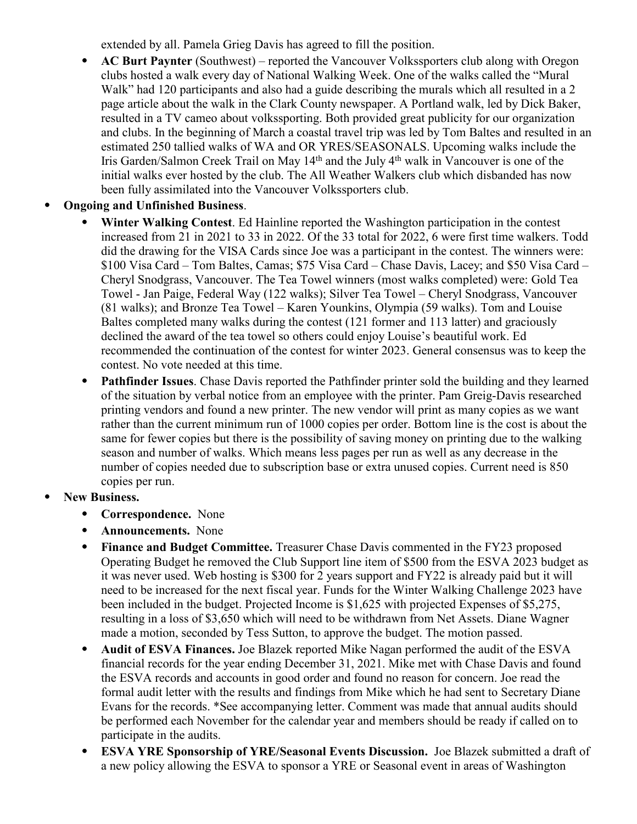extended by all. Pamela Grieg Davis has agreed to fill the position.

- ⦁ **AC Burt Paynter** (Southwest) reported the Vancouver Volkssporters club along with Oregon clubs hosted a walk every day of National Walking Week. One of the walks called the "Mural Walk" had 120 participants and also had a guide describing the murals which all resulted in a 2 page article about the walk in the Clark County newspaper. A Portland walk, led by Dick Baker, resulted in a TV cameo about volkssporting. Both provided great publicity for our organization and clubs. In the beginning of March a coastal travel trip was led by Tom Baltes and resulted in an estimated 250 tallied walks of WA and OR YRES/SEASONALS. Upcoming walks include the Iris Garden/Salmon Creek Trail on May 14th and the July 4th walk in Vancouver is one of the initial walks ever hosted by the club. The All Weather Walkers club which disbanded has now been fully assimilated into the Vancouver Volkssporters club.
- ⦁ **Ongoing and Unfinished Business**.
	- Winter Walking Contest. Ed Hainline reported the Washington participation in the contest increased from 21 in 2021 to 33 in 2022. Of the 33 total for 2022, 6 were first time walkers. Todd did the drawing for the VISA Cards since Joe was a participant in the contest. The winners were: \$100 Visa Card – Tom Baltes, Camas; \$75 Visa Card – Chase Davis, Lacey; and \$50 Visa Card – Cheryl Snodgrass, Vancouver. The Tea Towel winners (most walks completed) were: Gold Tea Towel - Jan Paige, Federal Way (122 walks); Silver Tea Towel – Cheryl Snodgrass, Vancouver (81 walks); and Bronze Tea Towel – Karen Younkins, Olympia (59 walks). Tom and Louise Baltes completed many walks during the contest (121 former and 113 latter) and graciously declined the award of the tea towel so others could enjoy Louise's beautiful work. Ed recommended the continuation of the contest for winter 2023. General consensus was to keep the contest. No vote needed at this time.
	- ⦁ **Pathfinder Issues**. Chase Davis reported the Pathfinder printer sold the building and they learned of the situation by verbal notice from an employee with the printer. Pam Greig-Davis researched printing vendors and found a new printer. The new vendor will print as many copies as we want rather than the current minimum run of 1000 copies per order. Bottom line is the cost is about the same for fewer copies but there is the possibility of saving money on printing due to the walking season and number of walks. Which means less pages per run as well as any decrease in the number of copies needed due to subscription base or extra unused copies. Current need is 850 copies per run.
- ⦁ **New Business.**
	- ⦁ **Correspondence.** None
	- ⦁ **Announcements.** None
	- ⦁ **Finance and Budget Committee.** Treasurer Chase Davis commented in the FY23 proposed Operating Budget he removed the Club Support line item of \$500 from the ESVA 2023 budget as it was never used. Web hosting is \$300 for 2 years support and FY22 is already paid but it will need to be increased for the next fiscal year. Funds for the Winter Walking Challenge 2023 have been included in the budget. Projected Income is \$1,625 with projected Expenses of \$5,275, resulting in a loss of \$3,650 which will need to be withdrawn from Net Assets. Diane Wagner made a motion, seconded by Tess Sutton, to approve the budget. The motion passed.
	- ⦁ **Audit of ESVA Finances.** Joe Blazek reported Mike Nagan performed the audit of the ESVA financial records for the year ending December 31, 2021. Mike met with Chase Davis and found the ESVA records and accounts in good order and found no reason for concern. Joe read the formal audit letter with the results and findings from Mike which he had sent to Secretary Diane Evans for the records. \*See accompanying letter. Comment was made that annual audits should be performed each November for the calendar year and members should be ready if called on to participate in the audits.
	- ⦁ **ESVA YRE Sponsorship of YRE/Seasonal Events Discussion.** Joe Blazek submitted a draft of a new policy allowing the ESVA to sponsor a YRE or Seasonal event in areas of Washington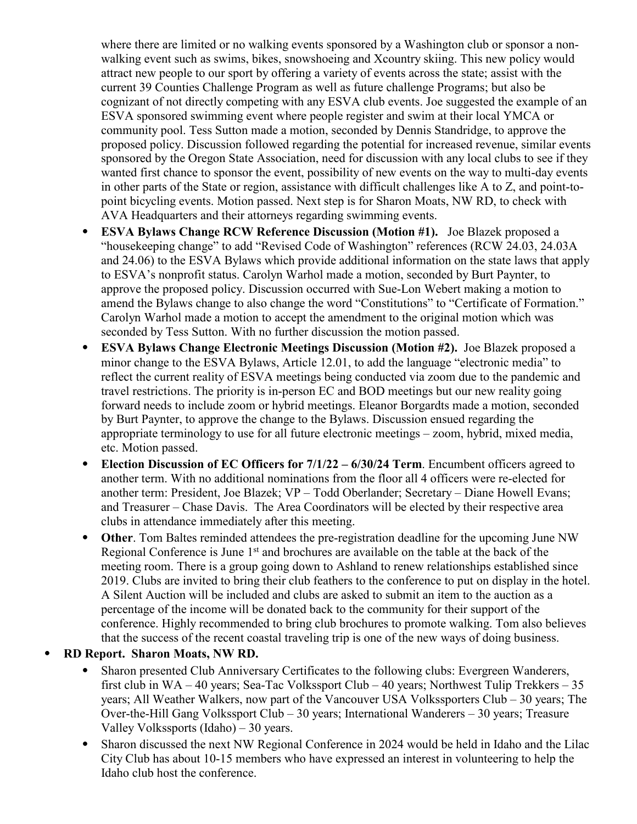where there are limited or no walking events sponsored by a Washington club or sponsor a nonwalking event such as swims, bikes, snowshoeing and Xcountry skiing. This new policy would attract new people to our sport by offering a variety of events across the state; assist with the current 39 Counties Challenge Program as well as future challenge Programs; but also be cognizant of not directly competing with any ESVA club events. Joe suggested the example of an ESVA sponsored swimming event where people register and swim at their local YMCA or community pool. Tess Sutton made a motion, seconded by Dennis Standridge, to approve the proposed policy. Discussion followed regarding the potential for increased revenue, similar events sponsored by the Oregon State Association, need for discussion with any local clubs to see if they wanted first chance to sponsor the event, possibility of new events on the way to multi-day events in other parts of the State or region, assistance with difficult challenges like A to Z, and point-topoint bicycling events. Motion passed. Next step is for Sharon Moats, NW RD, to check with AVA Headquarters and their attorneys regarding swimming events.

- ⦁ **ESVA Bylaws Change RCW Reference Discussion (Motion #1).** Joe Blazek proposed a "housekeeping change" to add "Revised Code of Washington" references (RCW 24.03, 24.03A and 24.06) to the ESVA Bylaws which provide additional information on the state laws that apply to ESVA's nonprofit status. Carolyn Warhol made a motion, seconded by Burt Paynter, to approve the proposed policy. Discussion occurred with Sue-Lon Webert making a motion to amend the Bylaws change to also change the word "Constitutions" to "Certificate of Formation." Carolyn Warhol made a motion to accept the amendment to the original motion which was seconded by Tess Sutton. With no further discussion the motion passed.
- ⦁ **ESVA Bylaws Change Electronic Meetings Discussion (Motion #2).** Joe Blazek proposed a minor change to the ESVA Bylaws, Article 12.01, to add the language "electronic media" to reflect the current reality of ESVA meetings being conducted via zoom due to the pandemic and travel restrictions. The priority is in-person EC and BOD meetings but our new reality going forward needs to include zoom or hybrid meetings. Eleanor Borgardts made a motion, seconded by Burt Paynter, to approve the change to the Bylaws. Discussion ensued regarding the appropriate terminology to use for all future electronic meetings – zoom, hybrid, mixed media, etc. Motion passed.
- ⦁ **Election Discussion of EC Officers for 7/1/22 6/30/24 Term**. Encumbent officers agreed to another term. With no additional nominations from the floor all 4 officers were re-elected for another term: President, Joe Blazek; VP – Todd Oberlander; Secretary – Diane Howell Evans; and Treasurer – Chase Davis. The Area Coordinators will be elected by their respective area clubs in attendance immediately after this meeting.
- ⦁ **Other**. Tom Baltes reminded attendees the pre-registration deadline for the upcoming June NW Regional Conference is June 1<sup>st</sup> and brochures are available on the table at the back of the meeting room. There is a group going down to Ashland to renew relationships established since 2019. Clubs are invited to bring their club feathers to the conference to put on display in the hotel. A Silent Auction will be included and clubs are asked to submit an item to the auction as a percentage of the income will be donated back to the community for their support of the conference. Highly recommended to bring club brochures to promote walking. Tom also believes that the success of the recent coastal traveling trip is one of the new ways of doing business.
- ⦁ **RD Report. Sharon Moats, NW RD.**
	- ⦁ Sharon presented Club Anniversary Certificates to the following clubs: Evergreen Wanderers, first club in WA – 40 years; Sea-Tac Volkssport Club – 40 years; Northwest Tulip Trekkers – 35 years; All Weather Walkers, now part of the Vancouver USA Volkssporters Club – 30 years; The Over-the-Hill Gang Volkssport Club – 30 years; International Wanderers – 30 years; Treasure Valley Volkssports (Idaho) – 30 years.
	- Sharon discussed the next NW Regional Conference in 2024 would be held in Idaho and the Lilac City Club has about 10-15 members who have expressed an interest in volunteering to help the Idaho club host the conference.